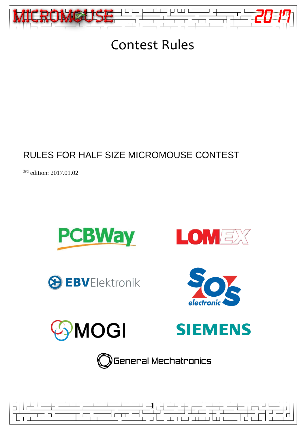

# Contest Rules

# RULES FOR HALF SIZE MICROMOUSE CONTEST

<sup>3rd</sup> edition: 2017.01.02















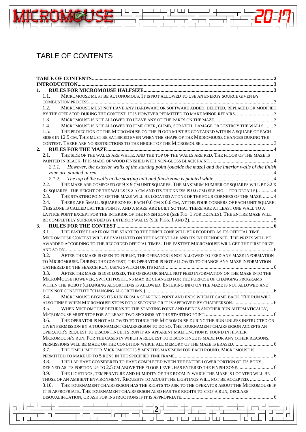# <span id="page-1-0"></span>TABLE OF CONTENTS

训练步

 $\Box$ 

| 1.                                                                                                                                                                                     |  |  |  |  |
|----------------------------------------------------------------------------------------------------------------------------------------------------------------------------------------|--|--|--|--|
| MICROMOUSE MUST BE AUTONOMOUS. IT IS NOT ALLOWED TO USE AN ENERGY SOURCE GIVEN BY<br>1.1.                                                                                              |  |  |  |  |
| MICROMOUSE MUST NOT HAVE ANY HARDWARE OR SOFTWARE ADDED, DELETED, REPLACED OR MODIFIED<br>1.2.<br>BY THE OPERATOR DURING THE CONTEST. IT IS HOWEVER PERMITTED TO MAKE MINOR REPAIRS. 3 |  |  |  |  |
| 1.3.                                                                                                                                                                                   |  |  |  |  |
| 1.4.<br>MICROMOUSE IS NOT ALLOWED TO JUMP OVER, CLIMB, SCRATCH, DAMAGE OR DESTROY THE WALLS 3                                                                                          |  |  |  |  |
| 1.5.<br>THE PROJECTION OF THE MICROMOUSE ON THE FLOOR MUST BE CONTAINED WITHIN A SQUARE OF EACH                                                                                        |  |  |  |  |
| SIDES IN 12.5 CM. THIS MUST BE SATISFIED EVEN WHEN THE SHAPE OF THE MICROMOUSE CHANGES DURING THE                                                                                      |  |  |  |  |
|                                                                                                                                                                                        |  |  |  |  |
| 2.                                                                                                                                                                                     |  |  |  |  |
| THE SIDE OF THE WALLS ARE WHITE, AND THE TOP OF THE WALLS ARE RED. THE FLOOR OF THE MAZE IS<br>2.1.                                                                                    |  |  |  |  |
|                                                                                                                                                                                        |  |  |  |  |
| 2.1.1. However, the exterior walls of the starting point (outside the maze) and the interior walls of the finish                                                                       |  |  |  |  |
| 2.1.2.                                                                                                                                                                                 |  |  |  |  |
| 2.2.<br>THE MAZE ARE COMPOSED OF 9 X 9 CM UNIT SQUARES. THE MAXIMUM NUMBER OF SQUARES WILL BE 32 X                                                                                     |  |  |  |  |
| 32 SQUARES. THE HEIGHT OF THE WALLS IS 2.5 CM AND ITS THICKNESS IS 0.6 CM (SEE FIG. 1 FOR DETAILS).  4                                                                                 |  |  |  |  |
| 2.3.<br>THE STARTING POINT OF THE MAZE WILL BE LOCATED AT ONE OF THE FOUR CORNERS OF THE MAZE 4                                                                                        |  |  |  |  |
| 2.4.<br>THERE ARE SMALL SQUARE ZONES, EACH 0.6 CM X 0.6 CM, AT THE FOUR CORNERS OF EACH UNIT SQUARE.                                                                                   |  |  |  |  |
| THIS ZONE IS CALLED LATTICE POINTS, AND A MAZE ARE BUILT SO THAT THERE ARE AT LEAST ONE WALL TO A                                                                                      |  |  |  |  |
| LATTICE POINT EXCEPT FOR THE INTERIOR OF THE FINISH ZONE (SEE FIG. 1 FOR DETAILS). THE ENTIRE MAZE WILL                                                                                |  |  |  |  |
|                                                                                                                                                                                        |  |  |  |  |
| 3.                                                                                                                                                                                     |  |  |  |  |
| THE FASTEST LAP FROM THE START TO THE FINISH ZONE WILL BE RECORDED AS ITS OFFICIAL TIME.<br>3.1.                                                                                       |  |  |  |  |
| MICROMOUSE CONTEST WILL BE EVALUATED ON THE FASTEST LAP AND ITS INDEPENDENCE. THE PRIZES WILL BE                                                                                       |  |  |  |  |
| AWARDED ACCORDING TO THE RECORDED OFFICIAL TIMES. THE FASTEST MICROMOUSE WILL GET THE FIRST PRIZE                                                                                      |  |  |  |  |
| 3.2.<br>AFTER THE MAZE IS OPEN TO PUBLIC, THE OPERATOR IS NOT ALLOWED TO FEED ANY MAZE INFORMATION                                                                                     |  |  |  |  |
| TO MICROMOUSE. DURING THE CONTEST, THE OPERATOR IS NOT ALLOWED TO CHANGE ANY MAZE INFORMATION                                                                                          |  |  |  |  |
|                                                                                                                                                                                        |  |  |  |  |
| 3.3.<br>AFTER THE MAZE IS DISCLOSED, THE OPERATOR SHALL NOT FEED INFORMATION ON THE MAZE INTO THE                                                                                      |  |  |  |  |
| MICROMOUSE HOWEVER, SWITCH POSITIONS MAY BE CHANGED FOR THE PURPOSE OF CHANGING PROGRAMS                                                                                               |  |  |  |  |
| WITHIN THE ROBOT (CHANGING ALGORITHMS IS ALLOWED. ENTERING INFO ON THE MAZE IS NOT ALLOWED AND                                                                                         |  |  |  |  |
|                                                                                                                                                                                        |  |  |  |  |
| 3.4.<br>MICROMOUSE BEGINS ITS RUN FROM A STARTING POINT AND ENDS WHEN IT CAME BACK. THE RUN WILL                                                                                       |  |  |  |  |
| ALSO FINISH WHEN MICROMOUSE STOPS FOR 2 SECONDS OR IT IS APPROVED BY CHAIRPERSON.  6                                                                                                   |  |  |  |  |
| 3.5.<br>WHEN MICROMOUSE RETURNS TO THE STARTING POINT AND BEINGS ANOTHER RUN AUTOMATICALLY,                                                                                            |  |  |  |  |
|                                                                                                                                                                                        |  |  |  |  |
| THE OPERATOR IS NOT ALLOWED TO TOUCH THE MICROMOUSE DURING THE RUN UNLESS INSTRUCTED OR<br>3.6.                                                                                        |  |  |  |  |
| GIVEN PERMISSION BY A TOURNAMENT CHAIRPERSON TO DO SO. THE TOURNAMENT CHAIRPERSON ACCEPTS AN                                                                                           |  |  |  |  |
| OPERATOR'S REQUEST TO DISCONTINUE ITS RUN IF AN APPARENT MALFUNCTION IS FOUND IN HIS/HER                                                                                               |  |  |  |  |
| MICROMOUSE'S RUN. FOR THE CASES IN WHICH A REQUEST TO DISCONTINUE IS MADE FOR ANY OTHER REASONS,                                                                                       |  |  |  |  |
|                                                                                                                                                                                        |  |  |  |  |
| 3.7.<br>THE TIME LIMIT FOR MICROMOUSE IS 5 MINUTES MAXIMUM FOR EACH ROUND. MICROMOUSE IS                                                                                               |  |  |  |  |
| 3.8.<br>THE LAP HAVE CONSIDERED TO HAVE COMPLETED WHEN THE ENTIRE LOWER PORTION OF ITS BODY,                                                                                           |  |  |  |  |
|                                                                                                                                                                                        |  |  |  |  |
| 3.9.<br>THE LIGHTINGS, TEMPERATURE AND HUMIDITY OF THE ROOM IN WHICH THE MAZE IS LOCATED WILL BE                                                                                       |  |  |  |  |
| THOSE OF AN AMBIENT ENVIRONMENT. REQUESTS TO ADJUST THE LIGHTINGS WILL NOT BE ACCEPTED.  6                                                                                             |  |  |  |  |
| 3.10.<br>THE TOURNAMENT CHAIRPERSON HAS THE RIGHTS TO ASK TO THE OPERATOR ABOUT THE MICROMOUSE IF                                                                                      |  |  |  |  |
| IT IS APPROPRIATE. THE TOURNAMENT CHAIRPERSON ALSO HAS THE RIGHTS TO STOP A RUN, DECLARE                                                                                               |  |  |  |  |
|                                                                                                                                                                                        |  |  |  |  |
|                                                                                                                                                                                        |  |  |  |  |
|                                                                                                                                                                                        |  |  |  |  |
|                                                                                                                                                                                        |  |  |  |  |
|                                                                                                                                                                                        |  |  |  |  |

 $\overline{F}$ 

⊥.

 $\frac{-}{\sqrt{-1}}$ 

工工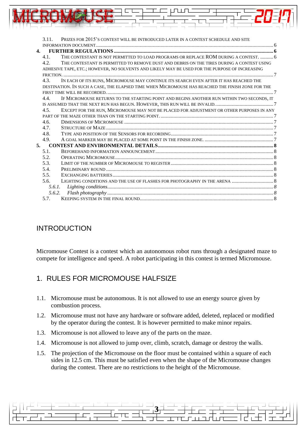|              | 3.11.  | PRIZES FOR 2015'S CONTEST WILL BE INTRODUCED LATER IN A CONTEST SCHEDULE AND SITE                 |  |
|--------------|--------|---------------------------------------------------------------------------------------------------|--|
|              |        |                                                                                                   |  |
| $\mathbf{4}$ |        |                                                                                                   |  |
|              | 4.1.   | THE CONTESTANT IS NOT PERMITTED TO LOAD PROGRAMS OR REPLACE ROM DURING A CONTEST.  6              |  |
|              | 4.2.   | THE CONTESTANT IS PERMITTED TO REMOVE DUST AND DEBRIS ON THE TIRES DURING A CONTEST USING         |  |
|              |        | ADHESIVE TAPE, ETC.; HOWEVER, NO SOLVENTS AND LIKELY MAY BE USED FOR THE PURPOSE OF INCREASING    |  |
|              |        |                                                                                                   |  |
|              | 4.3.   | IN EACH OF ITS RUNS, MICROMOUSE MAY CONTINUE ITS SEARCH EVEN AFTER IT HAS REACHED THE             |  |
|              |        | DESTINATION. IN SUCH A CASE, THE ELAPSED TIME WHEN MICROMOUSE HAS REACHED THE FINISH ZONE FOR THE |  |
|              |        |                                                                                                   |  |
|              | 4.4.   | IF MICROMOUSE RETURNS TO THE STARTING POINT AND BEGINS ANOTHER RUN WITHIN TWO SECONDS, IT         |  |
|              |        |                                                                                                   |  |
|              | 4.5.   | EXCEPT FOR THE RUN, MICROMOUSE MAY NOT BE PLACED FOR ADJUSTMENT OR OTHER PURPOSES IN ANY          |  |
|              |        |                                                                                                   |  |
|              | 4.6.   |                                                                                                   |  |
|              | 4.7.   |                                                                                                   |  |
|              | 4.8.   |                                                                                                   |  |
|              | 4.9.   |                                                                                                   |  |
|              | 5.     |                                                                                                   |  |
|              | 5.1.   |                                                                                                   |  |
|              | 5.2.   |                                                                                                   |  |
|              | 5.3.   |                                                                                                   |  |
|              | 5.4.   |                                                                                                   |  |
|              | 5.5.   |                                                                                                   |  |
|              | 5.6.   |                                                                                                   |  |
|              | 5.6.1. |                                                                                                   |  |
|              | 5.6.2. |                                                                                                   |  |
|              | 5.7.   |                                                                                                   |  |

### <span id="page-2-0"></span>INTRODUCTION

Micromouse Contest is a contest which an autonomous robot runs through a designated maze to compete for intelligence and speed. A robot participating in this contest is termed Micromouse.

#### <span id="page-2-1"></span>1. RULES FOR MICROMOUSE HALFSIZE

- <span id="page-2-2"></span>1.1. Micromouse must be autonomous. It is not allowed to use an energy source given by combustion process.
- <span id="page-2-3"></span>1.2. Micromouse must not have any hardware or software added, deleted, replaced or modified by the operator during the contest. It is however permitted to make minor repairs.
- <span id="page-2-4"></span>1.3. Micromouse is not allowed to leave any of the parts on the maze.
- <span id="page-2-5"></span>1.4. Micromouse is not allowed to jump over, climb, scratch, damage or destroy the walls.
- <span id="page-2-7"></span><span id="page-2-6"></span>1.5. The projection of the Micromouse on the floor must be contained within a square of each sides in 12.5 cm. This must be satisfied even when the shape of the Micromouse changes during the contest. There are no restrictions to the height of the Micromouse.

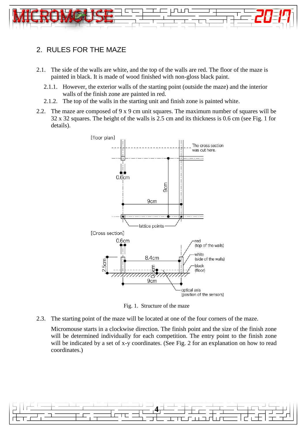

#### 2. RULES FOR THE MAZE

- <span id="page-3-1"></span><span id="page-3-0"></span>2.1. The side of the walls are white, and the top of the walls are red. The floor of the maze is painted in black. It is made of wood finished with non-gloss black paint.
	- 2.1.1. However, the exterior walls of the starting point (outside the maze) and the interior walls of the finish zone are painted in red.
	- 2.1.2. The top of the walls in the starting unit and finish zone is painted white.
- <span id="page-3-3"></span><span id="page-3-2"></span>2.2. The maze are composed of 9 x 9 cm unit squares. The maximum number of squares will be 32 x 32 squares. The height of the walls is 2.5 cm and its thickness is 0.6 cm (see Fig. 1 for details).



Fig. 1. Structure of the maze

<span id="page-3-4"></span>2.3. The starting point of the maze will be located at one of the four corners of the maze.

Micromouse starts in a clockwise direction. The finish point and the size of the finish zone will be determined individually for each competition. The entry point to the finish zone will be indicated by a set of x-y coordinates. (See Fig. 2 for an explanation on how to read coordinates.)

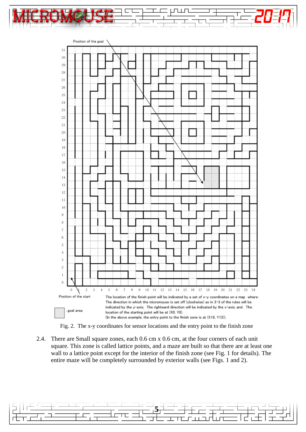





<span id="page-4-0"></span>2.4. There are Small square zones, each 0.6 cm x 0.6 cm, at the four corners of each unit square. This zone is called lattice points, and a maze are built so that there are at least one wall to a lattice point except for the interior of the finish zone (see Fig. 1 for details). The entire maze will be completely surrounded by exterior walls (see Figs. 1 and 2).

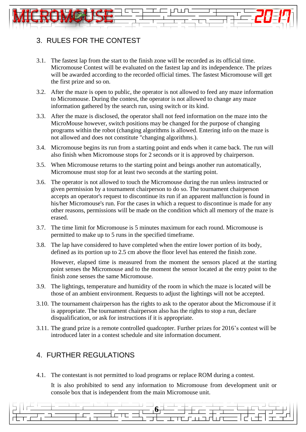## <span id="page-5-0"></span>3. RULES FOR THE CONTEST

- <span id="page-5-1"></span>3.1. The fastest lap from the start to the finish zone will be recorded as its official time. Micromouse Contest will be evaluated on the fastest lap and its independence. The prizes will be awarded according to the recorded official times. The fastest Micromouse will get the first prize and so on.
- <span id="page-5-2"></span>3.2. After the maze is open to public, the operator is not allowed to feed any maze information to Micromouse. During the contest, the operator is not allowed to change any maze information gathered by the search run, using switch or its kind.
- <span id="page-5-3"></span>3.3. After the maze is disclosed, the operator shall not feed information on the maze into the MicroMouse however, switch positions may be changed for the purpose of changing programs within the robot (changing algorithms is allowed. Entering info on the maze is not allowed and does not constitute "changing algorithms.).
- <span id="page-5-4"></span>3.4. Micromouse begins its run from a starting point and ends when it came back. The run will also finish when Micromouse stops for 2 seconds or it is approved by chairperson.
- <span id="page-5-5"></span>3.5. When Micromouse returns to the starting point and beings another run automatically, Micromouse must stop for at least two seconds at the starting point.
- <span id="page-5-6"></span>3.6. The operator is not allowed to touch the Micromouse during the run unless instructed or given permission by a tournament chairperson to do so. The tournament chairperson accepts an operator's request to discontinue its run if an apparent malfunction is found in his/her Micromouse's run. For the cases in which a request to discontinue is made for any other reasons, permissions will be made on the condition which all memory of the maze is erased.
- <span id="page-5-7"></span>3.7. The time limit for Micromouse is 5 minutes maximum for each round. Micromouse is permitted to make up to 5 runs in the specified timeframe.
- <span id="page-5-8"></span>3.8. The lap have considered to have completed when the entire lower portion of its body, defined as its portion up to 2.5 cm above the floor level has entered the finish zone.

However, elapsed time is measured from the moment the sensors placed at the starting point senses the Micromouse and to the moment the sensor located at the entry point to the finish zone senses the same Micromouse.

- <span id="page-5-9"></span>3.9. The lightings, temperature and humidity of the room in which the maze is located will be those of an ambient environment. Requests to adjust the lightings will not be accepted.
- <span id="page-5-10"></span>3.10. The tournament chairperson has the rights to ask to the operator about the Micromouse if it is appropriate. The tournament chairperson also has the rights to stop a run, declare disqualification, or ask for instructions if it is appropriate.
- <span id="page-5-11"></span>3.11. The grand prize is a remote controlled quadcopter. Further prizes for 2016's contest will be introduced later in a contest schedule and site information document.

#### <span id="page-5-12"></span>4. FURTHER REGULATIONS

<span id="page-5-13"></span>4.1. The contestant is not permitted to load programs or replace ROM during a contest.

It is also prohibited to send any information to Micromouse from development unit or console box that is independent from the main Micromouse unit.

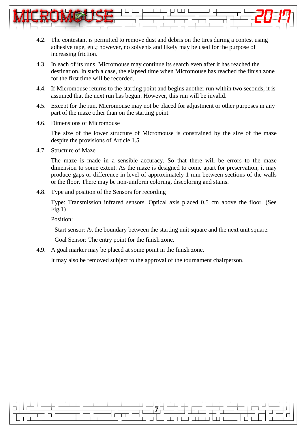

- <span id="page-6-0"></span>4.2. The contestant is permitted to remove dust and debris on the tires during a contest using adhesive tape, etc.; however, no solvents and likely may be used for the purpose of increasing friction.
- <span id="page-6-1"></span>4.3. In each of its runs, Micromouse may continue its search even after it has reached the destination. In such a case, the elapsed time when Micromouse has reached the finish zone for the first time will be recorded.
- <span id="page-6-2"></span>4.4. If Micromouse returns to the starting point and begins another run within two seconds, it is assumed that the next run has begun. However, this run will be invalid.
- <span id="page-6-3"></span>4.5. Except for the run, Micromouse may not be placed for adjustment or other purposes in any part of the maze other than on the starting point.
- <span id="page-6-4"></span>4.6. Dimensions of Micromouse

The size of the lower structure of Micromouse is constrained by the size of the maze despite the provisions of Article 1.5.

<span id="page-6-5"></span>4.7. Structure of Maze

The maze is made in a sensible accuracy. So that there will be errors to the maze dimension to some extent. As the maze is designed to come apart for preservation, it may produce gaps or difference in level of approximately 1 mm between sections of the walls or the floor. There may be non-uniform coloring, discoloring and stains.

<span id="page-6-6"></span>4.8. Type and position of the Sensors for recording

Type: Transmission infrared sensors. Optical axis placed 0.5 cm above the floor. (See  $Fig.1)$ 

Position:

Start sensor: At the boundary between the starting unit square and the next unit square.

Goal Sensor: The entry point for the finish zone.

<span id="page-6-7"></span>4.9. A goal marker may be placed at some point in the finish zone.

<span id="page-6-8"></span>It may also be removed subject to the approval of the tournament chairperson.